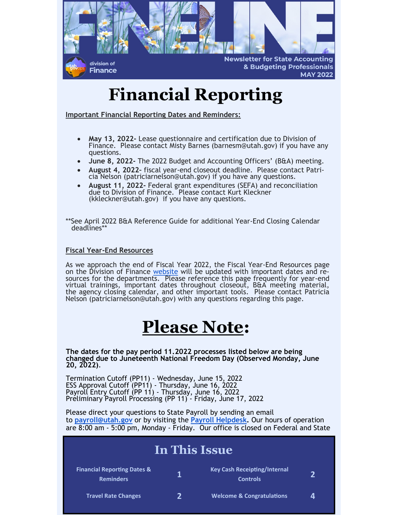

# **Financial Reporting**

**Important Financial Reporting Dates and Reminders:**

- **May 13, 2022-** Lease questionnaire and certification due to Division of Finance. Please contact Misty Barnes (barnesm@utah.gov) if you have any questions.
- **June 8, 2022-** The 2022 Budget and Accounting Officers' (B&A) meeting.
- **August 4, 2022–** fiscal year-end closeout deadline. Please contact Patricia Nelson (patriciarnelson@utah.gov) if you have any questions.
- **August 11, 2022-** Federal grant expenditures (SEFA) and reconciliation due to Division of Finance. Please contact Kurt Kleckner (kkleckner@utah.gov) if you have any questions.

\*\*See April 2022 B&A Reference Guide for additional Year-End Closing Calendar deadlines\*\*

#### **Fiscal Year-End Resources**

As we approach the end of Fiscal Year 2022, the Fiscal Year-End Resources page on the Division of Finance [website](https://finance.utah.gov/training/fiscal-yearend-training-2-2/) will be updated with important dates and resources for the departments. Please reference this page frequently for year-end virtual trainings, important dates throughout closeout, B&A meeting material, the agency closing calendar, and other important tools. Please contact Patricia Nelson (patriciarnelson@utah.gov) with any questions regarding this page.

### **Please Note:**

**The dates for the pay period 11.2022 processes listed below are being changed due to Juneteenth National Freedom Day (Observed Monday, June 20, 2022)**.

Termination Cutoff (PP11) - Wednesday, June 15, 2022 ESS Approval Cutoff (PP11) - Thursday, June 16, 2022 Payroll Entry Cutoff (PP 11) - Thursday, June 16, 2022 Preliminary Payroll Processing (PP 11) - Friday, June 17, 2022

Please direct your questions to State Payroll by sending an email to **[payroll@utah.gov](mailto:payroll@utah.gov)** or by visiting the **[Payroll Helpdesk.](https://payrollhelpdesk.utah.gov/portal/en/home)** Our hours of operation are 8:00 am - 5:00 pm, Monday - Friday. Our office is closed on Federal and State

| In This Issue                                              |   |                                                        |              |
|------------------------------------------------------------|---|--------------------------------------------------------|--------------|
| <b>Financial Reporting Dates &amp;</b><br><b>Reminders</b> | 1 | <b>Key Cash Receipting/Internal</b><br><b>Controls</b> | $\mathbf{D}$ |
| <b>Travel Rate Changes</b>                                 | 7 | <b>Welcome &amp; Congratulations</b>                   | Δ            |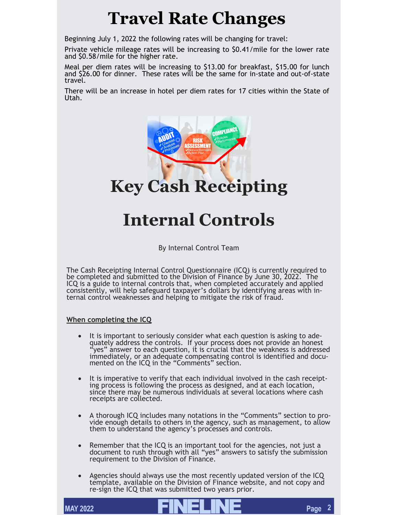# **Travel Rate Changes**

Beginning July 1, 2022 the following rates will be changing for travel:

Private vehicle mileage rates will be increasing to \$0.41/mile for the lower rate and \$0.58/mile for the higher rate.

Meal per diem rates will be increasing to \$13.00 for breakfast, \$15.00 for lunch and \$26.00 for dinner. These rates will be the same for in-state and out-of-state travel.

There will be an increase in hotel per diem rates for 17 cities within the State of Utah.



# **Internal Controls**

By Internal Control Team

The Cash Receipting Internal Control Questionnaire (ICQ) is currently required to be completed and submitted to the Division of Finance by June 30, 2022. The ICQ is a guide to internal controls that, when completed accurately and applied consistently, will help safeguard taxpayer's dollars by identifying areas with internal control weaknesses and helping to mitigate the risk of fraud.

### **When completing the ICQ**

- It is important to seriously consider what each question is asking to adequately address the controls. If your process does not provide an honest "yes" answer to each question, it is crucial that the weakness is addressed immediately, or an adequate compensating control is identified and documented on the ICQ in the "Comments" section.
- It is imperative to verify that each individual involved in the cash receipting process is following the process as designed, and at each location, since there may be numerous individuals at several locations where cash receipts are collected.
- A thorough ICQ includes many notations in the "Comments" section to provide enough details to others in the agency, such as management, to allow them to understand the agency's processes and controls.
- Remember that the ICQ is an important tool for the agencies, not just a document to rush through with all "yes" answers to satisfy the submission requirement to the Division of Finance.
- Agencies should always use the most recently updated version of the ICQ template, available on the Division of Finance website, and not copy and re-sign the ICQ that was submitted two years prior.

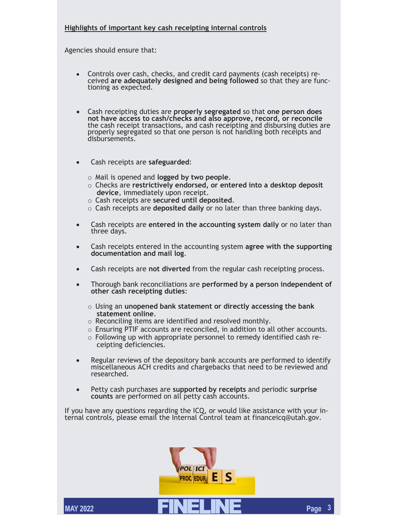### **Highlights of important key cash receipting internal controls**

Agencies should ensure that:

- Controls over cash, checks, and credit card payments (cash receipts) received **are adequately designed and being followed** so that they are functioning as expected.
- Cash receipting duties are **properly segregated** so that **one person does not have access to cash/checks and also approve, record, or reconcile**  the cash receipt transactions, and cash receipting and disbursing duties are properly segregated so that one person is not handling both receipts and disbursements.
- Cash receipts are **safeguarded**:
	- o Mail is opened and **logged by two people**.
	- o Checks are **restrictively endorsed, or entered into a desktop deposit device**, immediately upon receipt.
	- o Cash receipts are **secured until deposited**.
	- o Cash receipts are **deposited daily** or no later than three banking days.
- Cash receipts are **entered in the accounting system daily** or no later than three days.
- Cash receipts entered in the accounting system **agree with the supporting documentation and mail log**.
- Cash receipts are **not diverted** from the regular cash receipting process.
- Thorough bank reconciliations are **performed by a person independent of other cash receipting duties**:
	- o Using an **unopened bank statement or directly accessing the bank statement online**.
	- o Reconciling items are identified and resolved monthly.
	- o Ensuring PTIF accounts are reconciled, in addition to all other accounts.
	- o Following up with appropriate personnel to remedy identified cash receipting deficiencies.
- Regular reviews of the depository bank accounts are performed to identify miscellaneous ACH credits and chargebacks that need to be reviewed and researched.
- Petty cash purchases are **supported by receipts** and periodic **surprise counts** are performed on all petty cash accounts.

If you have any questions regarding the ICQ, or would like assistance with your internal controls, please email the Internal Control team at financeicq@utah.gov.